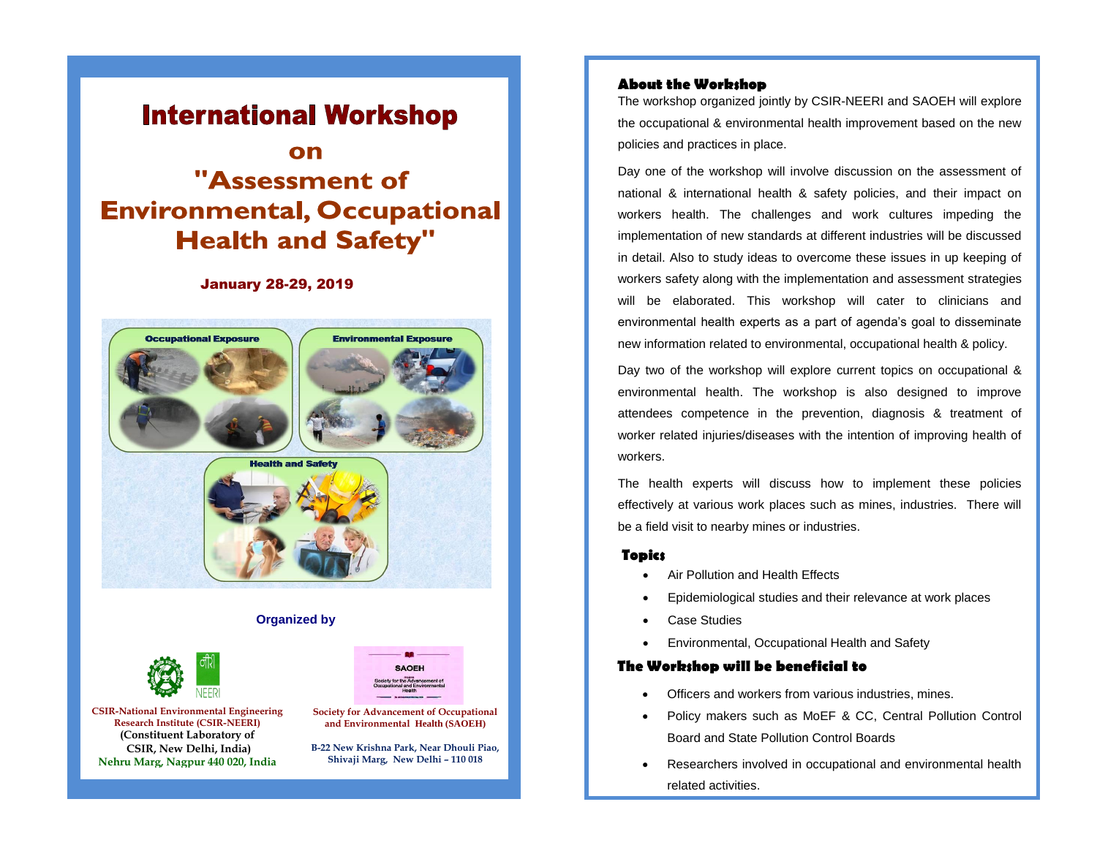## **International Workshop**

# "Assessment of **Environmental, Occupational Health and Safety"**

### January 28-29, 2019



#### **Organized by**

**Society for Advancement of Occupational and Environmental Health (SAOEH) B-22 New Krishna Park, Near Dhouli Piao, Shivaji Marg, New Delhi – 110 018**

**SAOFH** 



**CSIR-National Environmental Engineering Research Institute (CSIR-NEERI) (Constituent Laboratory of CSIR, New Delhi, India) Nehru Marg, Nagpur 440 020, India**

#### **About the Workshop**

The workshop organized jointly by CSIR-NEERI and SAOEH will explore the occupational & environmental health improvement based on the new policies and practices in place.

Day one of the workshop will involve discussion on the assessment of national & international health & safety policies, and their impact on workers health. The challenges and work cultures impeding the implementation of new standards at different industries will be discussed in detail. Also to study ideas to overcome these issues in up keeping of workers safety along with the implementation and assessment strategies will be elaborated. This workshop will cater to clinicians and environmental health experts as a part of agenda's goal to disseminate new information related to environmental, occupational health & policy.

Day two of the workshop will explore current topics on occupational & environmental health. The workshop is also designed to improve attendees competence in the prevention, diagnosis & treatment of worker related injuries/diseases with the intention of improving health of workers.

The health experts will discuss how to implement these policies effectively at various work places such as mines, industries. There will be a field visit to nearby mines or industries.

#### **Topics**

- Air Pollution and Health Effects
- Epidemiological studies and their relevance at work places
- Case Studies
- Environmental, Occupational Health and Safety

#### **The Workshop will be beneficial to**

- Officers and workers from various industries, mines.
- Policy makers such as MoEF & CC, Central Pollution Control Board and State Pollution Control Boards
- Researchers involved in occupational and environmental health related activities.